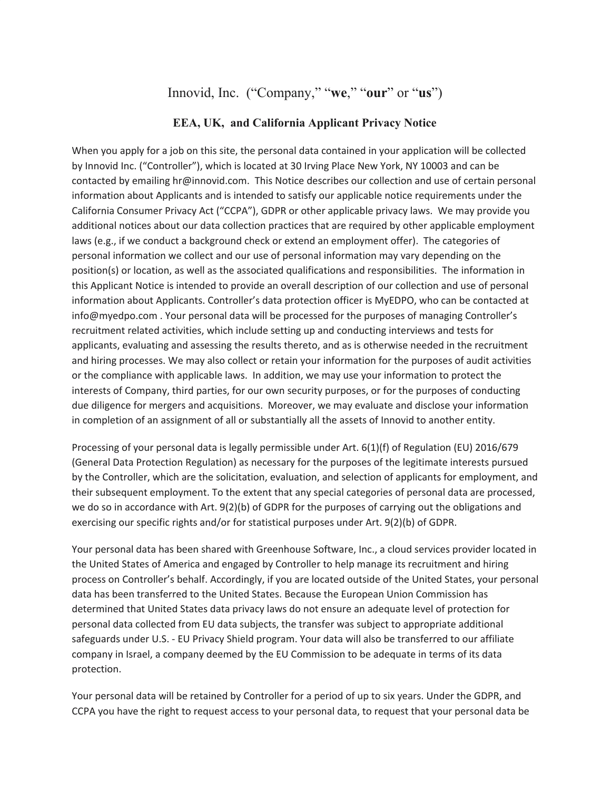## Innovid, Inc. ("Company," "**we**," "**our**" or "**us**")

## **EEA, UK, and California Applicant Privacy Notice**

When you apply for a job on this site, the personal data contained in your application will be collected by Innovid Inc. ("Controller"), which is located at 30 Irving Place New York, NY 10003 and can be contacted by emailing hr@innovid.com. This Notice describes our collection and use of certain personal information about Applicants and is intended to satisfy our applicable notice requirements under the California Consumer Privacy Act ("CCPA"), GDPR or other applicable privacy laws. We may provide you additional notices about our data collection practices that are required by other applicable employment laws (e.g., if we conduct a background check or extend an employment offer). The categories of personal information we collect and our use of personal information may vary depending on the position(s) or location, as well as the associated qualifications and responsibilities. The information in this Applicant Notice is intended to provide an overall description of our collection and use of personal information about Applicants. Controller's data protection officer is MyEDPO, who can be contacted at info@myedpo.com . Your personal data will be processed for the purposes of managing Controller's recruitment related activities, which include setting up and conducting interviews and tests for applicants, evaluating and assessing the results thereto, and as is otherwise needed in the recruitment and hiring processes. We may also collect or retain your information for the purposes of audit activities or the compliance with applicable laws. In addition, we may use your information to protect the interests of Company, third parties, for our own security purposes, or for the purposes of conducting due diligence for mergers and acquisitions. Moreover, we may evaluate and disclose your information in completion of an assignment of all or substantially all the assets of Innovid to another entity.

Processing of your personal data is legally permissible under Art. 6(1)(f) of Regulation (EU) 2016/679 (General Data Protection Regulation) as necessary for the purposes of the legitimate interests pursued by the Controller, which are the solicitation, evaluation, and selection of applicants for employment, and their subsequent employment. To the extent that any special categories of personal data are processed, we do so in accordance with Art. 9(2)(b) of GDPR for the purposes of carrying out the obligations and exercising our specific rights and/or for statistical purposes under Art. 9(2)(b) of GDPR.

Your personal data has been shared with Greenhouse Software, Inc., a cloud services provider located in the United States of America and engaged by Controller to help manage its recruitment and hiring process on Controller's behalf. Accordingly, if you are located outside of the United States, your personal data has been transferred to the United States. Because the European Union Commission has determined that United States data privacy laws do not ensure an adequate level of protection for personal data collected from EU data subjects, the transfer was subject to appropriate additional safeguards under U.S. - EU Privacy Shield program. Your data will also be transferred to our affiliate company in Israel, a company deemed by the EU Commission to be adequate in terms of its data protection.

Your personal data will be retained by Controller for a period of up to six years. Under the GDPR, and CCPA you have the right to request access to your personal data, to request that your personal data be